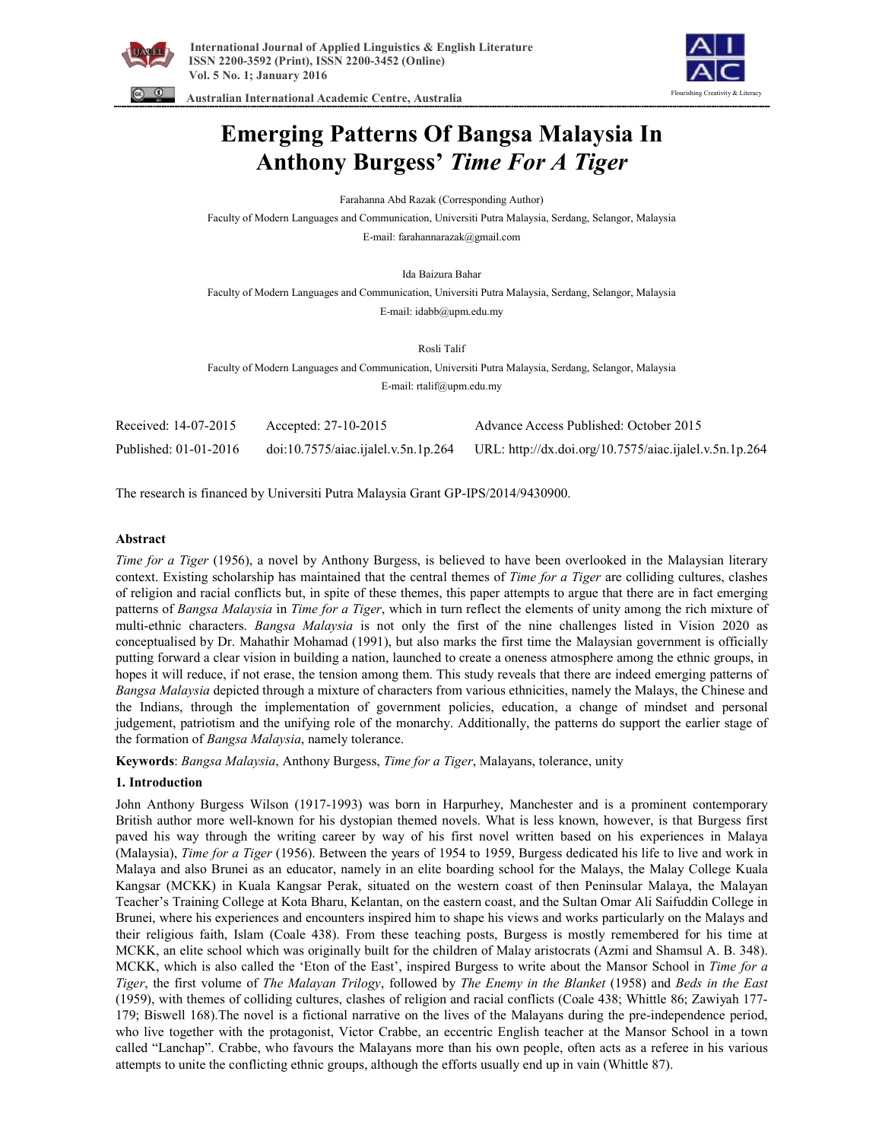



 **Australian International Academic Centre, Australia** 

# **Emerging Patterns Of Bangsa Malaysia In Anthony Burgess'** *Time For A Tiger*

Farahanna Abd Razak (Corresponding Author)

Faculty of Modern Languages and Communication, Universiti Putra Malaysia, Serdang, Selangor, Malaysia E-mail: farahannarazak@gmail.com

Ida Baizura Bahar

Faculty of Modern Languages and Communication, Universiti Putra Malaysia, Serdang, Selangor, Malaysia E-mail: idabb@upm.edu.my

Rosli Talif

Faculty of Modern Languages and Communication, Universiti Putra Malaysia, Serdang, Selangor, Malaysia E-mail: rtalif@upm.edu.my

| Received: 14-07-2015  | Accepted: $27-10-2015$              | Advance Access Published: October 2015                 |
|-----------------------|-------------------------------------|--------------------------------------------------------|
| Published: 01-01-2016 | doi:10.7575/aiac.ijalel.v.5n.1p.264 | URL: http://dx.doi.org/10.7575/aiac.ijalel.v.5n.1p.264 |

The research is financed by Universiti Putra Malaysia Grant GP-IPS/2014/9430900.

# **Abstract**

*Time for a Tiger* (1956), a novel by Anthony Burgess, is believed to have been overlooked in the Malaysian literary context. Existing scholarship has maintained that the central themes of *Time for a Tiger* are colliding cultures, clashes of religion and racial conflicts but, in spite of these themes, this paper attempts to argue that there are in fact emerging patterns of *Bangsa Malaysia* in *Time for a Tiger*, which in turn reflect the elements of unity among the rich mixture of multi-ethnic characters. *Bangsa Malaysia* is not only the first of the nine challenges listed in Vision 2020 as conceptualised by Dr. Mahathir Mohamad (1991), but also marks the first time the Malaysian government is officially putting forward a clear vision in building a nation, launched to create a oneness atmosphere among the ethnic groups, in hopes it will reduce, if not erase, the tension among them. This study reveals that there are indeed emerging patterns of *Bangsa Malaysia* depicted through a mixture of characters from various ethnicities, namely the Malays, the Chinese and the Indians, through the implementation of government policies, education, a change of mindset and personal judgement, patriotism and the unifying role of the monarchy. Additionally, the patterns do support the earlier stage of the formation of *Bangsa Malaysia*, namely tolerance.

**Keywords**: *Bangsa Malaysia*, Anthony Burgess, *Time for a Tiger*, Malayans, tolerance, unity

# **1. Introduction**

John Anthony Burgess Wilson (1917-1993) was born in Harpurhey, Manchester and is a prominent contemporary British author more well-known for his dystopian themed novels. What is less known, however, is that Burgess first paved his way through the writing career by way of his first novel written based on his experiences in Malaya (Malaysia), *Time for a Tiger* (1956). Between the years of 1954 to 1959, Burgess dedicated his life to live and work in Malaya and also Brunei as an educator, namely in an elite boarding school for the Malays, the Malay College Kuala Kangsar (MCKK) in Kuala Kangsar Perak, situated on the western coast of then Peninsular Malaya, the Malayan Teacher's Training College at Kota Bharu, Kelantan, on the eastern coast, and the Sultan Omar Ali Saifuddin College in Brunei, where his experiences and encounters inspired him to shape his views and works particularly on the Malays and their religious faith, Islam (Coale 438). From these teaching posts, Burgess is mostly remembered for his time at MCKK, an elite school which was originally built for the children of Malay aristocrats (Azmi and Shamsul A. B. 348). MCKK, which is also called the 'Eton of the East', inspired Burgess to write about the Mansor School in *Time for a Tiger*, the first volume of *The Malayan Trilogy*, followed by *The Enemy in the Blanket* (1958) and *Beds in the East* (1959), with themes of colliding cultures, clashes of religion and racial conflicts (Coale 438; Whittle 86; Zawiyah 177- 179; Biswell 168).The novel is a fictional narrative on the lives of the Malayans during the pre-independence period, who live together with the protagonist, Victor Crabbe, an eccentric English teacher at the Mansor School in a town called "Lanchap". Crabbe, who favours the Malayans more than his own people, often acts as a referee in his various attempts to unite the conflicting ethnic groups, although the efforts usually end up in vain (Whittle 87).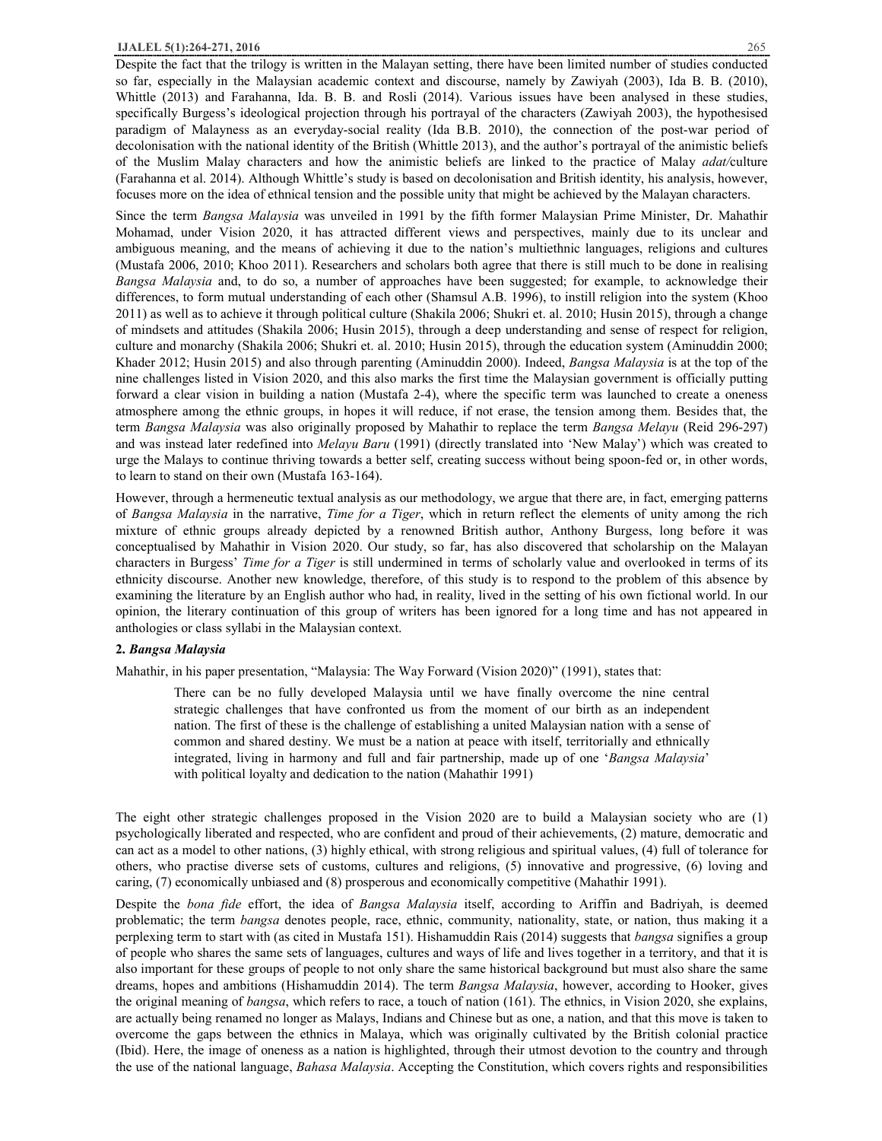Despite the fact that the trilogy is written in the Malayan setting, there have been limited number of studies conducted so far, especially in the Malaysian academic context and discourse, namely by Zawiyah (2003), Ida B. B. (2010), Whittle (2013) and Farahanna, Ida. B. B. and Rosli (2014). Various issues have been analysed in these studies, specifically Burgess's ideological projection through his portrayal of the characters (Zawiyah 2003), the hypothesised paradigm of Malayness as an everyday-social reality (Ida B.B. 2010), the connection of the post-war period of decolonisation with the national identity of the British (Whittle 2013), and the author's portrayal of the animistic beliefs of the Muslim Malay characters and how the animistic beliefs are linked to the practice of Malay *adat/*culture (Farahanna et al. 2014). Although Whittle's study is based on decolonisation and British identity, his analysis, however, focuses more on the idea of ethnical tension and the possible unity that might be achieved by the Malayan characters.

Since the term *Bangsa Malaysia* was unveiled in 1991 by the fifth former Malaysian Prime Minister, Dr. Mahathir Mohamad, under Vision 2020, it has attracted different views and perspectives, mainly due to its unclear and ambiguous meaning, and the means of achieving it due to the nation's multiethnic languages, religions and cultures (Mustafa 2006, 2010; Khoo 2011). Researchers and scholars both agree that there is still much to be done in realising *Bangsa Malaysia* and, to do so, a number of approaches have been suggested; for example, to acknowledge their differences, to form mutual understanding of each other (Shamsul A.B. 1996), to instill religion into the system (Khoo 2011) as well as to achieve it through political culture (Shakila 2006; Shukri et. al. 2010; Husin 2015), through a change of mindsets and attitudes (Shakila 2006; Husin 2015), through a deep understanding and sense of respect for religion, culture and monarchy (Shakila 2006; Shukri et. al. 2010; Husin 2015), through the education system (Aminuddin 2000; Khader 2012; Husin 2015) and also through parenting (Aminuddin 2000). Indeed, *Bangsa Malaysia* is at the top of the nine challenges listed in Vision 2020, and this also marks the first time the Malaysian government is officially putting forward a clear vision in building a nation (Mustafa 2-4), where the specific term was launched to create a oneness atmosphere among the ethnic groups, in hopes it will reduce, if not erase, the tension among them. Besides that, the term *Bangsa Malaysia* was also originally proposed by Mahathir to replace the term *Bangsa Melayu* (Reid 296-297) and was instead later redefined into *Melayu Baru* (1991) (directly translated into 'New Malay') which was created to urge the Malays to continue thriving towards a better self, creating success without being spoon-fed or, in other words, to learn to stand on their own (Mustafa 163-164).

However, through a hermeneutic textual analysis as our methodology, we argue that there are, in fact, emerging patterns of *Bangsa Malaysia* in the narrative, *Time for a Tiger*, which in return reflect the elements of unity among the rich mixture of ethnic groups already depicted by a renowned British author, Anthony Burgess, long before it was conceptualised by Mahathir in Vision 2020. Our study, so far, has also discovered that scholarship on the Malayan characters in Burgess' *Time for a Tiger* is still undermined in terms of scholarly value and overlooked in terms of its ethnicity discourse. Another new knowledge, therefore, of this study is to respond to the problem of this absence by examining the literature by an English author who had, in reality, lived in the setting of his own fictional world. In our opinion, the literary continuation of this group of writers has been ignored for a long time and has not appeared in anthologies or class syllabi in the Malaysian context.

# **2.** *Bangsa Malaysia*

Mahathir, in his paper presentation, "Malaysia: The Way Forward (Vision 2020)" (1991), states that:

There can be no fully developed Malaysia until we have finally overcome the nine central strategic challenges that have confronted us from the moment of our birth as an independent nation. The first of these is the challenge of establishing a united Malaysian nation with a sense of common and shared destiny. We must be a nation at peace with itself, territorially and ethnically integrated, living in harmony and full and fair partnership, made up of one '*Bangsa Malaysia*' with political loyalty and dedication to the nation (Mahathir 1991)

The eight other strategic challenges proposed in the Vision 2020 are to build a Malaysian society who are (1) psychologically liberated and respected, who are confident and proud of their achievements, (2) mature, democratic and can act as a model to other nations, (3) highly ethical, with strong religious and spiritual values, (4) full of tolerance for others, who practise diverse sets of customs, cultures and religions, (5) innovative and progressive, (6) loving and caring, (7) economically unbiased and (8) prosperous and economically competitive (Mahathir 1991).

Despite the *bona fide* effort, the idea of *Bangsa Malaysia* itself, according to Ariffin and Badriyah, is deemed problematic; the term *bangsa* denotes people, race, ethnic, community, nationality, state, or nation, thus making it a perplexing term to start with (as cited in Mustafa 151). Hishamuddin Rais (2014) suggests that *bangsa* signifies a group of people who shares the same sets of languages, cultures and ways of life and lives together in a territory, and that it is also important for these groups of people to not only share the same historical background but must also share the same dreams, hopes and ambitions (Hishamuddin 2014). The term *Bangsa Malaysia*, however, according to Hooker, gives the original meaning of *bangsa*, which refers to race, a touch of nation (161). The ethnics, in Vision 2020, she explains, are actually being renamed no longer as Malays, Indians and Chinese but as one, a nation, and that this move is taken to overcome the gaps between the ethnics in Malaya, which was originally cultivated by the British colonial practice (Ibid). Here, the image of oneness as a nation is highlighted, through their utmost devotion to the country and through the use of the national language, *Bahasa Malaysia*. Accepting the Constitution, which covers rights and responsibilities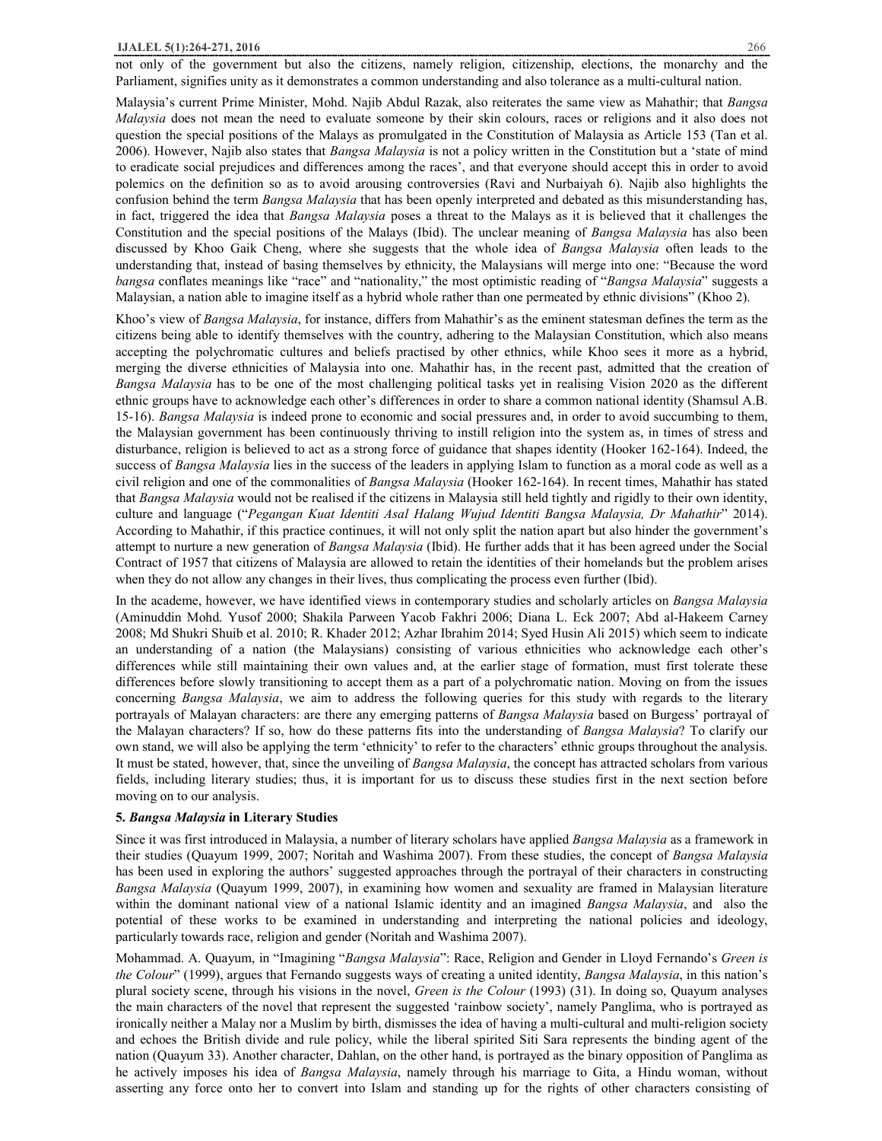Malaysia's current Prime Minister, Mohd. Najib Abdul Razak, also reiterates the same view as Mahathir; that *Bangsa Malaysia* does not mean the need to evaluate someone by their skin colours, races or religions and it also does not question the special positions of the Malays as promulgated in the Constitution of Malaysia as Article 153 (Tan et al. 2006). However, Najib also states that *Bangsa Malaysia* is not a policy written in the Constitution but a 'state of mind to eradicate social prejudices and differences among the races', and that everyone should accept this in order to avoid polemics on the definition so as to avoid arousing controversies (Ravi and Nurbaiyah 6). Najib also highlights the confusion behind the term *Bangsa Malaysia* that has been openly interpreted and debated as this misunderstanding has, in fact, triggered the idea that *Bangsa Malaysia* poses a threat to the Malays as it is believed that it challenges the Constitution and the special positions of the Malays (Ibid). The unclear meaning of *Bangsa Malaysia* has also been discussed by Khoo Gaik Cheng, where she suggests that the whole idea of *Bangsa Malaysia* often leads to the understanding that, instead of basing themselves by ethnicity, the Malaysians will merge into one: "Because the word *bangsa* conflates meanings like "race" and "nationality," the most optimistic reading of "*Bangsa Malaysia*" suggests a Malaysian, a nation able to imagine itself as a hybrid whole rather than one permeated by ethnic divisions" (Khoo 2).

Khoo's view of *Bangsa Malaysia*, for instance, differs from Mahathir's as the eminent statesman defines the term as the citizens being able to identify themselves with the country, adhering to the Malaysian Constitution, which also means accepting the polychromatic cultures and beliefs practised by other ethnics, while Khoo sees it more as a hybrid, merging the diverse ethnicities of Malaysia into one. Mahathir has, in the recent past, admitted that the creation of *Bangsa Malaysia* has to be one of the most challenging political tasks yet in realising Vision 2020 as the different ethnic groups have to acknowledge each other's differences in order to share a common national identity (Shamsul A.B. 15-16). *Bangsa Malaysia* is indeed prone to economic and social pressures and, in order to avoid succumbing to them, the Malaysian government has been continuously thriving to instill religion into the system as, in times of stress and disturbance, religion is believed to act as a strong force of guidance that shapes identity (Hooker 162-164). Indeed, the success of *Bangsa Malaysia* lies in the success of the leaders in applying Islam to function as a moral code as well as a civil religion and one of the commonalities of *Bangsa Malaysia* (Hooker 162-164). In recent times, Mahathir has stated that *Bangsa Malaysia* would not be realised if the citizens in Malaysia still held tightly and rigidly to their own identity, culture and language ("*Pegangan Kuat Identiti Asal Halang Wujud Identiti Bangsa Malaysia, Dr Mahathir*" 2014). According to Mahathir, if this practice continues, it will not only split the nation apart but also hinder the government's attempt to nurture a new generation of *Bangsa Malaysia* (Ibid). He further adds that it has been agreed under the Social Contract of 1957 that citizens of Malaysia are allowed to retain the identities of their homelands but the problem arises when they do not allow any changes in their lives, thus complicating the process even further (Ibid).

In the academe, however, we have identified views in contemporary studies and scholarly articles on *Bangsa Malaysia* (Aminuddin Mohd. Yusof 2000; Shakila Parween Yacob Fakhri 2006; Diana L. Eck 2007; Abd al-Hakeem Carney 2008; Md Shukri Shuib et al. 2010; R. Khader 2012; Azhar Ibrahim 2014; Syed Husin Ali 2015) which seem to indicate an understanding of a nation (the Malaysians) consisting of various ethnicities who acknowledge each other's differences while still maintaining their own values and, at the earlier stage of formation, must first tolerate these differences before slowly transitioning to accept them as a part of a polychromatic nation. Moving on from the issues concerning *Bangsa Malaysia*, we aim to address the following queries for this study with regards to the literary portrayals of Malayan characters: are there any emerging patterns of *Bangsa Malaysia* based on Burgess' portrayal of the Malayan characters? If so, how do these patterns fits into the understanding of *Bangsa Malaysia*? To clarify our own stand, we will also be applying the term 'ethnicity' to refer to the characters' ethnic groups throughout the analysis. It must be stated, however, that, since the unveiling of *Bangsa Malaysia*, the concept has attracted scholars from various fields, including literary studies; thus, it is important for us to discuss these studies first in the next section before moving on to our analysis.

#### **5.** *Bangsa Malaysia* **in Literary Studies**

Since it was first introduced in Malaysia, a number of literary scholars have applied *Bangsa Malaysia* as a framework in their studies (Quayum 1999, 2007; Noritah and Washima 2007). From these studies, the concept of *Bangsa Malaysia*  has been used in exploring the authors' suggested approaches through the portrayal of their characters in constructing *Bangsa Malaysia* (Quayum 1999, 2007), in examining how women and sexuality are framed in Malaysian literature within the dominant national view of a national Islamic identity and an imagined *Bangsa Malaysia*, and also the potential of these works to be examined in understanding and interpreting the national policies and ideology, particularly towards race, religion and gender (Noritah and Washima 2007).

Mohammad. A. Quayum, in "Imagining "*Bangsa Malaysia*": Race, Religion and Gender in Lloyd Fernando's *Green is the Colour*" (1999), argues that Fernando suggests ways of creating a united identity, *Bangsa Malaysia*, in this nation's plural society scene, through his visions in the novel, *Green is the Colour* (1993) (31). In doing so, Quayum analyses the main characters of the novel that represent the suggested 'rainbow society', namely Panglima, who is portrayed as ironically neither a Malay nor a Muslim by birth, dismisses the idea of having a multi-cultural and multi-religion society and echoes the British divide and rule policy, while the liberal spirited Siti Sara represents the binding agent of the nation (Quayum 33). Another character, Dahlan, on the other hand, is portrayed as the binary opposition of Panglima as he actively imposes his idea of *Bangsa Malaysia*, namely through his marriage to Gita, a Hindu woman, without asserting any force onto her to convert into Islam and standing up for the rights of other characters consisting of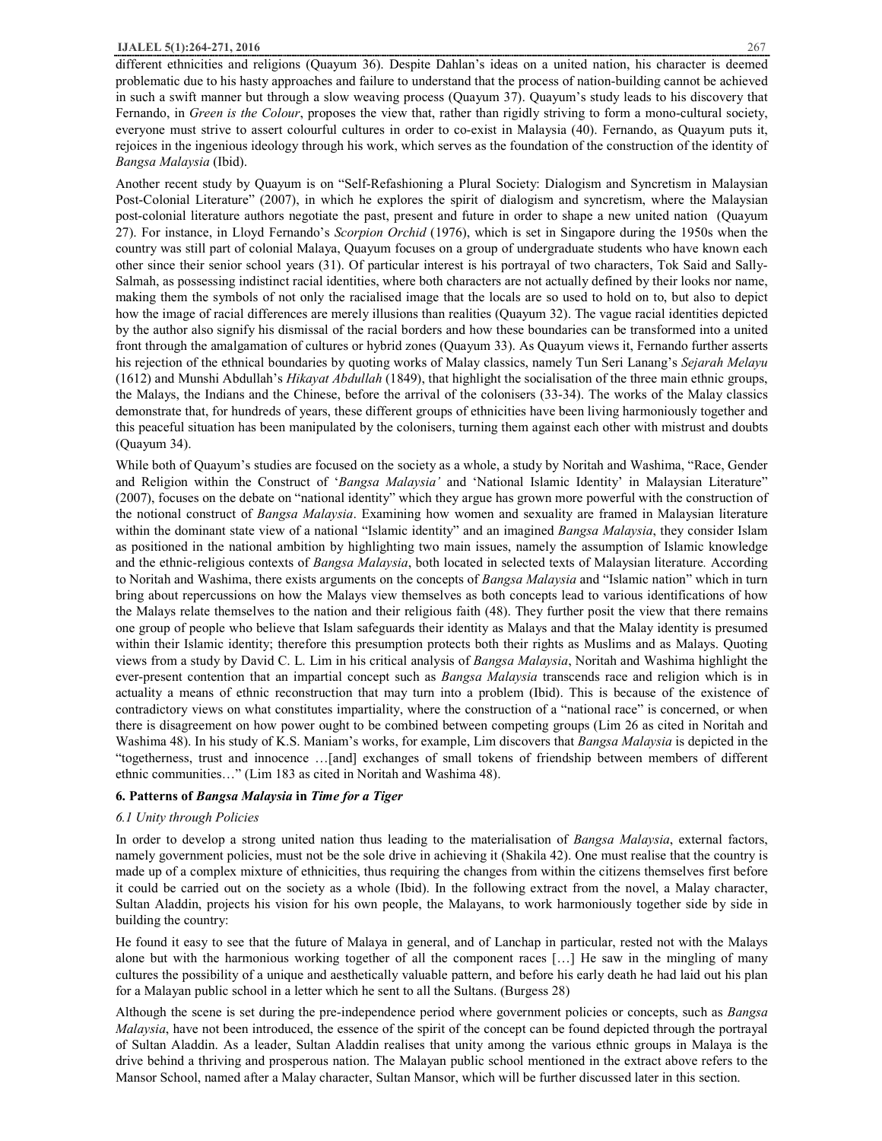different ethnicities and religions (Quayum 36). Despite Dahlan's ideas on a united nation, his character is deemed problematic due to his hasty approaches and failure to understand that the process of nation-building cannot be achieved in such a swift manner but through a slow weaving process (Quayum 37). Quayum's study leads to his discovery that Fernando, in *Green is the Colour*, proposes the view that, rather than rigidly striving to form a mono-cultural society, everyone must strive to assert colourful cultures in order to co-exist in Malaysia (40). Fernando, as Quayum puts it, rejoices in the ingenious ideology through his work, which serves as the foundation of the construction of the identity of *Bangsa Malaysia* (Ibid).

Another recent study by Quayum is on "Self-Refashioning a Plural Society: Dialogism and Syncretism in Malaysian Post-Colonial Literature" (2007), in which he explores the spirit of dialogism and syncretism, where the Malaysian post-colonial literature authors negotiate the past, present and future in order to shape a new united nation (Quayum 27). For instance, in Lloyd Fernando's *Scorpion Orchid* (1976), which is set in Singapore during the 1950s when the country was still part of colonial Malaya, Quayum focuses on a group of undergraduate students who have known each other since their senior school years (31). Of particular interest is his portrayal of two characters, Tok Said and Sally-Salmah, as possessing indistinct racial identities, where both characters are not actually defined by their looks nor name, making them the symbols of not only the racialised image that the locals are so used to hold on to, but also to depict how the image of racial differences are merely illusions than realities (Quayum 32). The vague racial identities depicted by the author also signify his dismissal of the racial borders and how these boundaries can be transformed into a united front through the amalgamation of cultures or hybrid zones (Quayum 33). As Quayum views it, Fernando further asserts his rejection of the ethnical boundaries by quoting works of Malay classics, namely Tun Seri Lanang's *Sejarah Melayu* (1612) and Munshi Abdullah's *Hikayat Abdullah* (1849), that highlight the socialisation of the three main ethnic groups, the Malays, the Indians and the Chinese, before the arrival of the colonisers (33-34). The works of the Malay classics demonstrate that, for hundreds of years, these different groups of ethnicities have been living harmoniously together and this peaceful situation has been manipulated by the colonisers, turning them against each other with mistrust and doubts (Quayum 34).

While both of Quayum's studies are focused on the society as a whole, a study by Noritah and Washima, "Race, Gender and Religion within the Construct of '*Bangsa Malaysia'* and 'National Islamic Identity' in Malaysian Literature" (2007), focuses on the debate on "national identity" which they argue has grown more powerful with the construction of the notional construct of *Bangsa Malaysia*. Examining how women and sexuality are framed in Malaysian literature within the dominant state view of a national "Islamic identity" and an imagined *Bangsa Malaysia*, they consider Islam as positioned in the national ambition by highlighting two main issues, namely the assumption of Islamic knowledge and the ethnic-religious contexts of *Bangsa Malaysia*, both located in selected texts of Malaysian literature*.* According to Noritah and Washima, there exists arguments on the concepts of *Bangsa Malaysia* and "Islamic nation" which in turn bring about repercussions on how the Malays view themselves as both concepts lead to various identifications of how the Malays relate themselves to the nation and their religious faith (48). They further posit the view that there remains one group of people who believe that Islam safeguards their identity as Malays and that the Malay identity is presumed within their Islamic identity; therefore this presumption protects both their rights as Muslims and as Malays. Quoting views from a study by David C. L. Lim in his critical analysis of *Bangsa Malaysia*, Noritah and Washima highlight the ever-present contention that an impartial concept such as *Bangsa Malaysia* transcends race and religion which is in actuality a means of ethnic reconstruction that may turn into a problem (Ibid). This is because of the existence of contradictory views on what constitutes impartiality, where the construction of a "national race" is concerned, or when there is disagreement on how power ought to be combined between competing groups (Lim 26 as cited in Noritah and Washima 48). In his study of K.S. Maniam's works, for example, Lim discovers that *Bangsa Malaysia* is depicted in the "togetherness, trust and innocence …[and] exchanges of small tokens of friendship between members of different ethnic communities…" (Lim 183 as cited in Noritah and Washima 48).

# **6. Patterns of** *Bangsa Malaysia* **in** *Time for a Tiger*

# *6.1 Unity through Policies*

In order to develop a strong united nation thus leading to the materialisation of *Bangsa Malaysia*, external factors, namely government policies, must not be the sole drive in achieving it (Shakila 42). One must realise that the country is made up of a complex mixture of ethnicities, thus requiring the changes from within the citizens themselves first before it could be carried out on the society as a whole (Ibid). In the following extract from the novel, a Malay character, Sultan Aladdin, projects his vision for his own people, the Malayans, to work harmoniously together side by side in building the country:

He found it easy to see that the future of Malaya in general, and of Lanchap in particular, rested not with the Malays alone but with the harmonious working together of all the component races […] He saw in the mingling of many cultures the possibility of a unique and aesthetically valuable pattern, and before his early death he had laid out his plan for a Malayan public school in a letter which he sent to all the Sultans. (Burgess 28)

Although the scene is set during the pre-independence period where government policies or concepts, such as *Bangsa Malaysia*, have not been introduced, the essence of the spirit of the concept can be found depicted through the portrayal of Sultan Aladdin. As a leader, Sultan Aladdin realises that unity among the various ethnic groups in Malaya is the drive behind a thriving and prosperous nation. The Malayan public school mentioned in the extract above refers to the Mansor School, named after a Malay character, Sultan Mansor, which will be further discussed later in this section.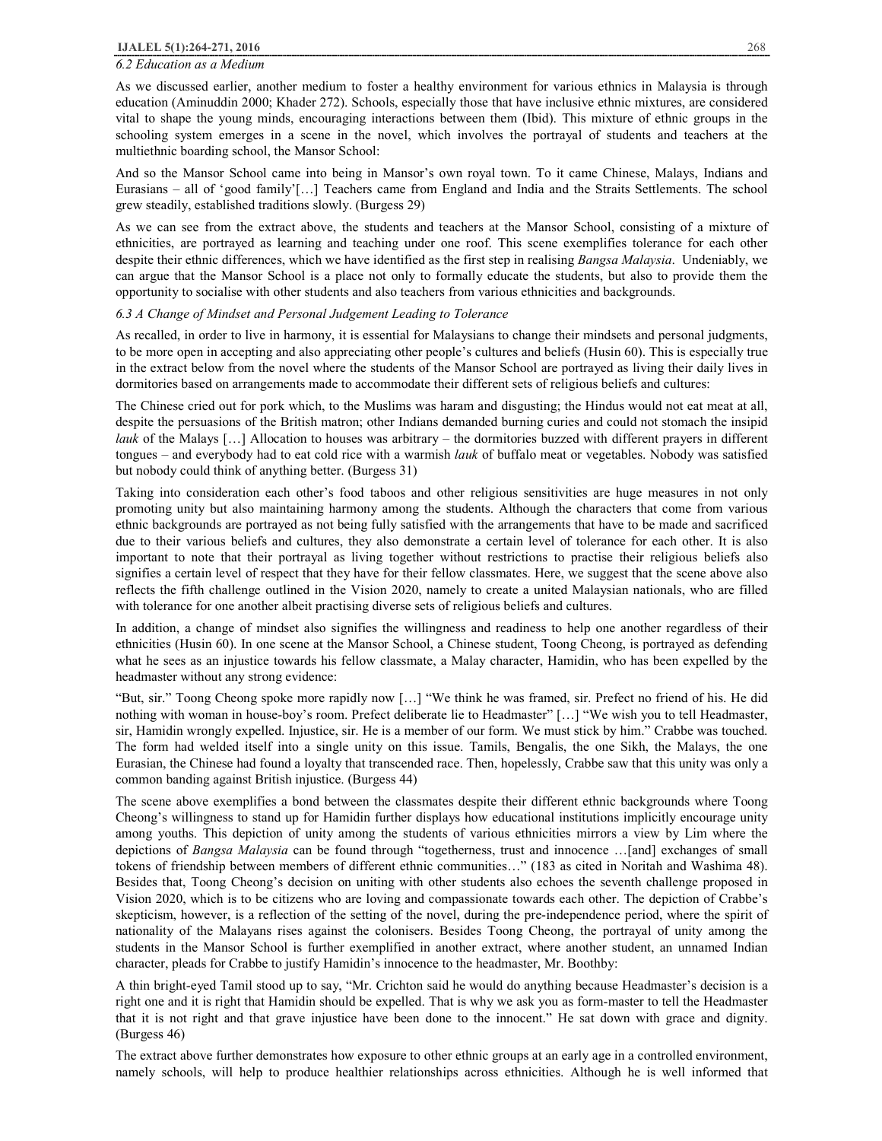#### *6.2 Education as a Medium*

As we discussed earlier, another medium to foster a healthy environment for various ethnics in Malaysia is through education (Aminuddin 2000; Khader 272). Schools, especially those that have inclusive ethnic mixtures, are considered vital to shape the young minds, encouraging interactions between them (Ibid). This mixture of ethnic groups in the schooling system emerges in a scene in the novel, which involves the portrayal of students and teachers at the multiethnic boarding school, the Mansor School:

And so the Mansor School came into being in Mansor's own royal town. To it came Chinese, Malays, Indians and Eurasians – all of 'good family'[…] Teachers came from England and India and the Straits Settlements. The school grew steadily, established traditions slowly. (Burgess 29)

As we can see from the extract above, the students and teachers at the Mansor School, consisting of a mixture of ethnicities, are portrayed as learning and teaching under one roof. This scene exemplifies tolerance for each other despite their ethnic differences, which we have identified as the first step in realising *Bangsa Malaysia*. Undeniably, we can argue that the Mansor School is a place not only to formally educate the students, but also to provide them the opportunity to socialise with other students and also teachers from various ethnicities and backgrounds.

#### *6.3 A Change of Mindset and Personal Judgement Leading to Tolerance*

As recalled, in order to live in harmony, it is essential for Malaysians to change their mindsets and personal judgments, to be more open in accepting and also appreciating other people's cultures and beliefs (Husin 60). This is especially true in the extract below from the novel where the students of the Mansor School are portrayed as living their daily lives in dormitories based on arrangements made to accommodate their different sets of religious beliefs and cultures:

The Chinese cried out for pork which, to the Muslims was haram and disgusting; the Hindus would not eat meat at all, despite the persuasions of the British matron; other Indians demanded burning curies and could not stomach the insipid *lauk* of the Malays […] Allocation to houses was arbitrary – the dormitories buzzed with different prayers in different tongues – and everybody had to eat cold rice with a warmish *lauk* of buffalo meat or vegetables. Nobody was satisfied but nobody could think of anything better. (Burgess 31)

Taking into consideration each other's food taboos and other religious sensitivities are huge measures in not only promoting unity but also maintaining harmony among the students. Although the characters that come from various ethnic backgrounds are portrayed as not being fully satisfied with the arrangements that have to be made and sacrificed due to their various beliefs and cultures, they also demonstrate a certain level of tolerance for each other. It is also important to note that their portrayal as living together without restrictions to practise their religious beliefs also signifies a certain level of respect that they have for their fellow classmates. Here, we suggest that the scene above also reflects the fifth challenge outlined in the Vision 2020, namely to create a united Malaysian nationals, who are filled with tolerance for one another albeit practising diverse sets of religious beliefs and cultures.

In addition, a change of mindset also signifies the willingness and readiness to help one another regardless of their ethnicities (Husin 60). In one scene at the Mansor School, a Chinese student, Toong Cheong, is portrayed as defending what he sees as an injustice towards his fellow classmate, a Malay character, Hamidin, who has been expelled by the headmaster without any strong evidence:

"But, sir." Toong Cheong spoke more rapidly now […] "We think he was framed, sir. Prefect no friend of his. He did nothing with woman in house-boy's room. Prefect deliberate lie to Headmaster" […] "We wish you to tell Headmaster, sir, Hamidin wrongly expelled. Injustice, sir. He is a member of our form. We must stick by him." Crabbe was touched. The form had welded itself into a single unity on this issue. Tamils, Bengalis, the one Sikh, the Malays, the one Eurasian, the Chinese had found a loyalty that transcended race. Then, hopelessly, Crabbe saw that this unity was only a common banding against British injustice. (Burgess 44)

The scene above exemplifies a bond between the classmates despite their different ethnic backgrounds where Toong Cheong's willingness to stand up for Hamidin further displays how educational institutions implicitly encourage unity among youths. This depiction of unity among the students of various ethnicities mirrors a view by Lim where the depictions of *Bangsa Malaysia* can be found through "togetherness, trust and innocence …[and] exchanges of small tokens of friendship between members of different ethnic communities…" (183 as cited in Noritah and Washima 48). Besides that, Toong Cheong's decision on uniting with other students also echoes the seventh challenge proposed in Vision 2020, which is to be citizens who are loving and compassionate towards each other. The depiction of Crabbe's skepticism, however, is a reflection of the setting of the novel, during the pre-independence period, where the spirit of nationality of the Malayans rises against the colonisers. Besides Toong Cheong, the portrayal of unity among the students in the Mansor School is further exemplified in another extract, where another student, an unnamed Indian character, pleads for Crabbe to justify Hamidin's innocence to the headmaster, Mr. Boothby:

A thin bright-eyed Tamil stood up to say, "Mr. Crichton said he would do anything because Headmaster's decision is a right one and it is right that Hamidin should be expelled. That is why we ask you as form-master to tell the Headmaster that it is not right and that grave injustice have been done to the innocent." He sat down with grace and dignity. (Burgess 46)

The extract above further demonstrates how exposure to other ethnic groups at an early age in a controlled environment, namely schools, will help to produce healthier relationships across ethnicities. Although he is well informed that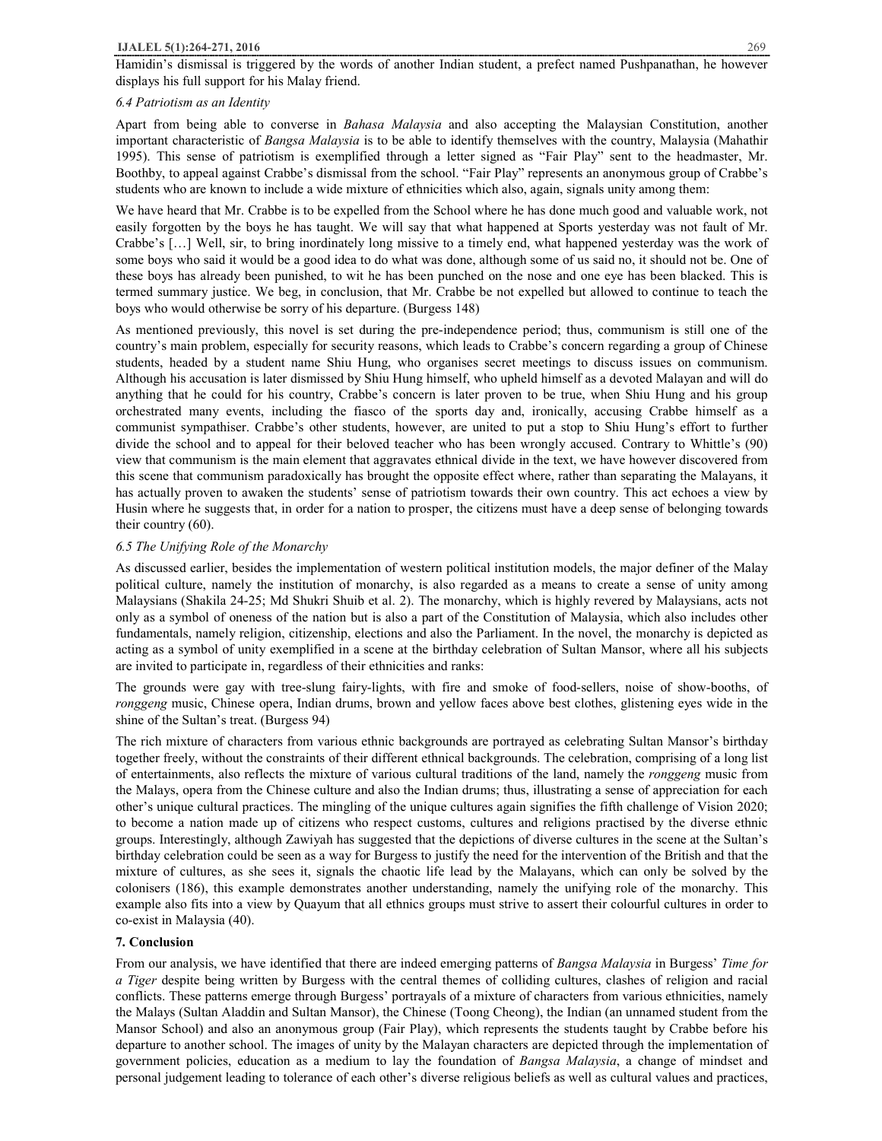Hamidin's dismissal is triggered by the words of another Indian student, a prefect named Pushpanathan, he however displays his full support for his Malay friend.

# *6.4 Patriotism as an Identity*

Apart from being able to converse in *Bahasa Malaysia* and also accepting the Malaysian Constitution, another important characteristic of *Bangsa Malaysia* is to be able to identify themselves with the country, Malaysia (Mahathir 1995). This sense of patriotism is exemplified through a letter signed as "Fair Play" sent to the headmaster, Mr. Boothby, to appeal against Crabbe's dismissal from the school. "Fair Play" represents an anonymous group of Crabbe's students who are known to include a wide mixture of ethnicities which also, again, signals unity among them:

We have heard that Mr. Crabbe is to be expelled from the School where he has done much good and valuable work, not easily forgotten by the boys he has taught. We will say that what happened at Sports yesterday was not fault of Mr. Crabbe's […] Well, sir, to bring inordinately long missive to a timely end, what happened yesterday was the work of some boys who said it would be a good idea to do what was done, although some of us said no, it should not be. One of these boys has already been punished, to wit he has been punched on the nose and one eye has been blacked. This is termed summary justice. We beg, in conclusion, that Mr. Crabbe be not expelled but allowed to continue to teach the boys who would otherwise be sorry of his departure. (Burgess 148)

As mentioned previously, this novel is set during the pre-independence period; thus, communism is still one of the country's main problem, especially for security reasons, which leads to Crabbe's concern regarding a group of Chinese students, headed by a student name Shiu Hung, who organises secret meetings to discuss issues on communism. Although his accusation is later dismissed by Shiu Hung himself, who upheld himself as a devoted Malayan and will do anything that he could for his country, Crabbe's concern is later proven to be true, when Shiu Hung and his group orchestrated many events, including the fiasco of the sports day and, ironically, accusing Crabbe himself as a communist sympathiser. Crabbe's other students, however, are united to put a stop to Shiu Hung's effort to further divide the school and to appeal for their beloved teacher who has been wrongly accused. Contrary to Whittle's (90) view that communism is the main element that aggravates ethnical divide in the text, we have however discovered from this scene that communism paradoxically has brought the opposite effect where, rather than separating the Malayans, it has actually proven to awaken the students' sense of patriotism towards their own country. This act echoes a view by Husin where he suggests that, in order for a nation to prosper, the citizens must have a deep sense of belonging towards their country (60).

# *6.5 The Unifying Role of the Monarchy*

As discussed earlier, besides the implementation of western political institution models, the major definer of the Malay political culture, namely the institution of monarchy, is also regarded as a means to create a sense of unity among Malaysians (Shakila 24-25; Md Shukri Shuib et al. 2). The monarchy, which is highly revered by Malaysians, acts not only as a symbol of oneness of the nation but is also a part of the Constitution of Malaysia, which also includes other fundamentals, namely religion, citizenship, elections and also the Parliament. In the novel, the monarchy is depicted as acting as a symbol of unity exemplified in a scene at the birthday celebration of Sultan Mansor, where all his subjects are invited to participate in, regardless of their ethnicities and ranks:

The grounds were gay with tree-slung fairy-lights, with fire and smoke of food-sellers, noise of show-booths, of *ronggeng* music, Chinese opera, Indian drums, brown and yellow faces above best clothes, glistening eyes wide in the shine of the Sultan's treat. (Burgess 94)

The rich mixture of characters from various ethnic backgrounds are portrayed as celebrating Sultan Mansor's birthday together freely, without the constraints of their different ethnical backgrounds. The celebration, comprising of a long list of entertainments, also reflects the mixture of various cultural traditions of the land, namely the *ronggeng* music from the Malays, opera from the Chinese culture and also the Indian drums; thus, illustrating a sense of appreciation for each other's unique cultural practices. The mingling of the unique cultures again signifies the fifth challenge of Vision 2020; to become a nation made up of citizens who respect customs, cultures and religions practised by the diverse ethnic groups. Interestingly, although Zawiyah has suggested that the depictions of diverse cultures in the scene at the Sultan's birthday celebration could be seen as a way for Burgess to justify the need for the intervention of the British and that the mixture of cultures, as she sees it, signals the chaotic life lead by the Malayans, which can only be solved by the colonisers (186), this example demonstrates another understanding, namely the unifying role of the monarchy. This example also fits into a view by Quayum that all ethnics groups must strive to assert their colourful cultures in order to co-exist in Malaysia (40).

### **7. Conclusion**

From our analysis, we have identified that there are indeed emerging patterns of *Bangsa Malaysia* in Burgess' *Time for a Tiger* despite being written by Burgess with the central themes of colliding cultures, clashes of religion and racial conflicts. These patterns emerge through Burgess' portrayals of a mixture of characters from various ethnicities, namely the Malays (Sultan Aladdin and Sultan Mansor), the Chinese (Toong Cheong), the Indian (an unnamed student from the Mansor School) and also an anonymous group (Fair Play), which represents the students taught by Crabbe before his departure to another school. The images of unity by the Malayan characters are depicted through the implementation of government policies, education as a medium to lay the foundation of *Bangsa Malaysia*, a change of mindset and personal judgement leading to tolerance of each other's diverse religious beliefs as well as cultural values and practices,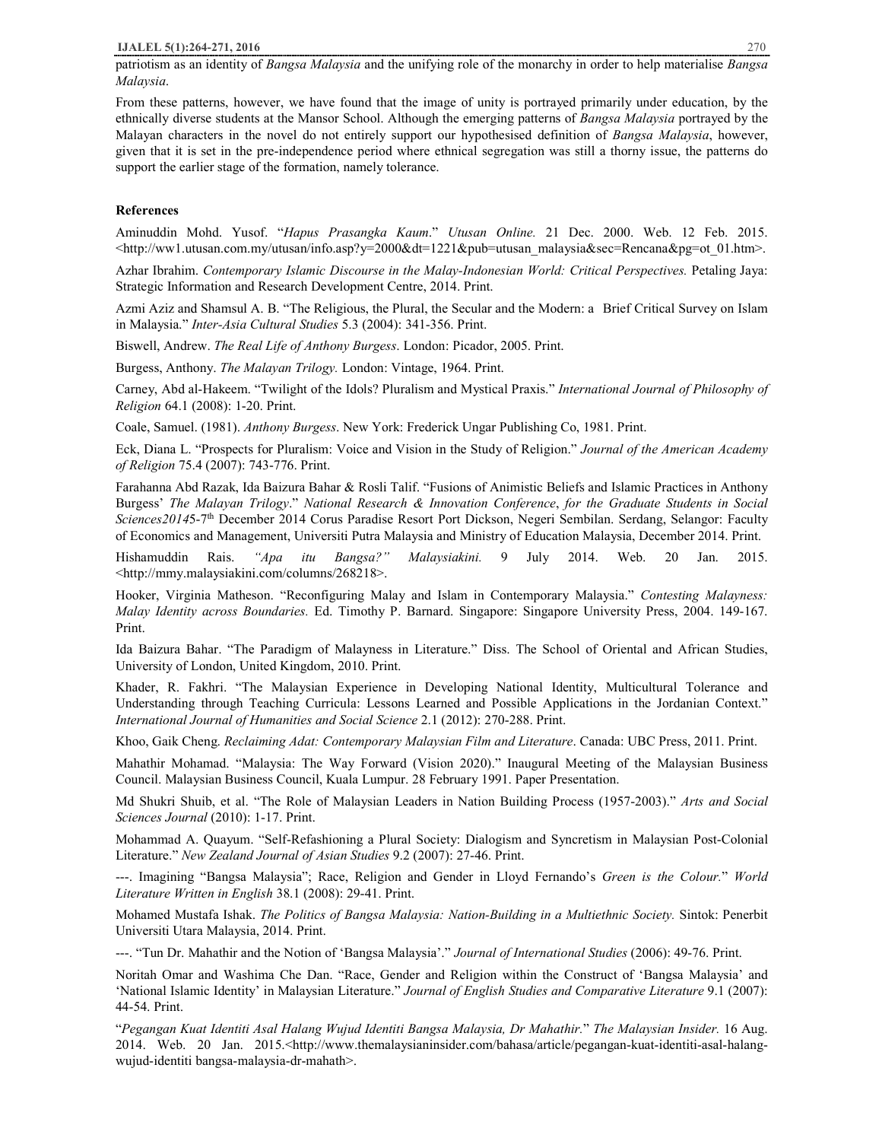patriotism as an identity of *Bangsa Malaysia* and the unifying role of the monarchy in order to help materialise *Bangsa Malaysia*.

From these patterns, however, we have found that the image of unity is portrayed primarily under education, by the ethnically diverse students at the Mansor School. Although the emerging patterns of *Bangsa Malaysia* portrayed by the Malayan characters in the novel do not entirely support our hypothesised definition of *Bangsa Malaysia*, however, given that it is set in the pre-independence period where ethnical segregation was still a thorny issue, the patterns do support the earlier stage of the formation, namely tolerance.

# **References**

Aminuddin Mohd. Yusof. "*Hapus Prasangka Kaum*." *Utusan Online.* 21 Dec. 2000. Web. 12 Feb. 2015. <http://ww1.utusan.com.my/utusan/info.asp?y=2000&dt=1221&pub=utusan\_malaysia&sec=Rencana&pg=ot\_01.htm>.

Azhar Ibrahim. *Contemporary Islamic Discourse in the Malay-Indonesian World: Critical Perspectives.* Petaling Jaya: Strategic Information and Research Development Centre, 2014. Print.

Azmi Aziz and Shamsul A. B. "The Religious, the Plural, the Secular and the Modern: a Brief Critical Survey on Islam in Malaysia." *Inter-Asia Cultural Studies* 5.3 (2004): 341-356. Print.

Biswell, Andrew. *The Real Life of Anthony Burgess*. London: Picador, 2005. Print.

Burgess, Anthony. *The Malayan Trilogy.* London: Vintage, 1964. Print.

Carney, Abd al-Hakeem. "Twilight of the Idols? Pluralism and Mystical Praxis." *International Journal of Philosophy of Religion* 64.1 (2008): 1-20. Print.

Coale, Samuel. (1981). *Anthony Burgess*. New York: Frederick Ungar Publishing Co, 1981. Print.

Eck, Diana L. "Prospects for Pluralism: Voice and Vision in the Study of Religion." *Journal of the American Academy of Religion* 75.4 (2007): 743-776. Print.

Farahanna Abd Razak, Ida Baizura Bahar & Rosli Talif. "Fusions of Animistic Beliefs and Islamic Practices in Anthony Burgess' *The Malayan Trilogy*." *National Research & Innovation Conference*, *for the Graduate Students in Social Sciences2014*5-7th December 2014 Corus Paradise Resort Port Dickson, Negeri Sembilan. Serdang, Selangor: Faculty of Economics and Management, Universiti Putra Malaysia and Ministry of Education Malaysia, December 2014. Print.

Hishamuddin Rais. *"Apa itu Bangsa?" Malaysiakini.* 9 July 2014. Web. 20 Jan. 2015. <http://mmy.malaysiakini.com/columns/268218>.

Hooker, Virginia Matheson. "Reconfiguring Malay and Islam in Contemporary Malaysia." *Contesting Malayness: Malay Identity across Boundaries.* Ed. Timothy P. Barnard. Singapore: Singapore University Press, 2004. 149-167. Print.

Ida Baizura Bahar. "The Paradigm of Malayness in Literature." Diss. The School of Oriental and African Studies, University of London, United Kingdom, 2010. Print.

Khader, R. Fakhri. "The Malaysian Experience in Developing National Identity, Multicultural Tolerance and Understanding through Teaching Curricula: Lessons Learned and Possible Applications in the Jordanian Context." *International Journal of Humanities and Social Science* 2.1 (2012): 270-288. Print.

Khoo, Gaik Cheng. *Reclaiming Adat: Contemporary Malaysian Film and Literature*. Canada: UBC Press, 2011. Print.

Mahathir Mohamad. "Malaysia: The Way Forward (Vision 2020)." Inaugural Meeting of the Malaysian Business Council. Malaysian Business Council, Kuala Lumpur. 28 February 1991. Paper Presentation.

Md Shukri Shuib, et al. "The Role of Malaysian Leaders in Nation Building Process (1957-2003)." *Arts and Social Sciences Journal* (2010): 1-17. Print.

Mohammad A. Quayum. "Self-Refashioning a Plural Society: Dialogism and Syncretism in Malaysian Post-Colonial Literature." *New Zealand Journal of Asian Studies* 9.2 (2007): 27-46. Print.

---. Imagining "Bangsa Malaysia"; Race, Religion and Gender in Lloyd Fernando's *Green is the Colour.*" *World Literature Written in English* 38.1 (2008): 29-41. Print.

Mohamed Mustafa Ishak. *The Politics of Bangsa Malaysia: Nation-Building in a Multiethnic Society.* Sintok: Penerbit Universiti Utara Malaysia, 2014. Print.

---. "Tun Dr. Mahathir and the Notion of 'Bangsa Malaysia'." *Journal of International Studies* (2006): 49-76. Print.

Noritah Omar and Washima Che Dan. "Race, Gender and Religion within the Construct of 'Bangsa Malaysia' and 'National Islamic Identity' in Malaysian Literature." *Journal of English Studies and Comparative Literature* 9.1 (2007): 44-54. Print.

"*Pegangan Kuat Identiti Asal Halang Wujud Identiti Bangsa Malaysia, Dr Mahathir.*" *The Malaysian Insider.* 16 Aug. 2014. Web. 20 Jan. 2015.<http://www.themalaysianinsider.com/bahasa/article/pegangan-kuat-identiti-asal-halangwujud-identiti bangsa-malaysia-dr-mahath>.